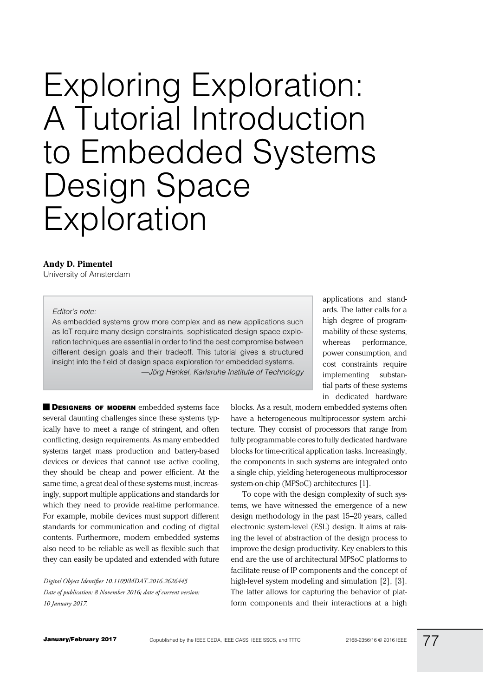# Exploring Exploration: A Tutorial Introduction to Embedded Systems Design Space Exploration

#### **Andy D. Pimentel**

University of Amsterdam

#### *Editor's note:*

As embedded systems grow more complex and as new applications such as IoT require many design constraints, sophisticated design space exploration techniques are essential in order to find the best compromise between different design goals and their tradeoff. This tutorial gives a structured insight into the field of design space exploration for embedded systems. *—Jörg Henkel, Karlsruhe Institute of Technology*

**DESIGNERS OF MODERN** embedded systems face several daunting challenges since these systems typically have to meet a range of stringent, and often conflicting, design requirements. As many embedded systems target mass production and battery-based devices or devices that cannot use active cooling, they should be cheap and power efficient. At the same time, a great deal of these systems must, increasingly, support multiple applications and standards for which they need to provide real-time performance. For example, mobile devices must support different standards for communication and coding of digital contents. Furthermore, modern embedded systems also need to be reliable as well as flexible such that they can easily be updated and extended with future

*Digital Object Identifer 10.1109/MDAT.2016.2626445 Date of publication: 8 November 2016; date of current version: 10 January 2017.*

applications and standards. The latter calls for a high degree of programmability of these systems, whereas performance, power consumption, and cost constraints require implementing substantial parts of these systems in dedicated hardware

blocks. As a result, modern embedded systems often have a heterogeneous multiprocessor system architecture. They consist of processors that range from fully programmable cores to fully dedicated hardware blocks for time-critical application tasks. Increasingly, the components in such systems are integrated onto a single chip, yielding heterogeneous multiprocessor system-on-chip (MPSoC) architectures [1].

To cope with the design complexity of such systems, we have witnessed the emergence of a new design methodology in the past 15–20 years, called electronic system-level (ESL) design. It aims at raising the level of abstraction of the design process to improve the design productivity. Key enablers to this end are the use of architectural MPSoC platforms to facilitate reuse of IP components and the concept of high-level system modeling and simulation [2], [3]. The latter allows for capturing the behavior of platform components and their interactions at a high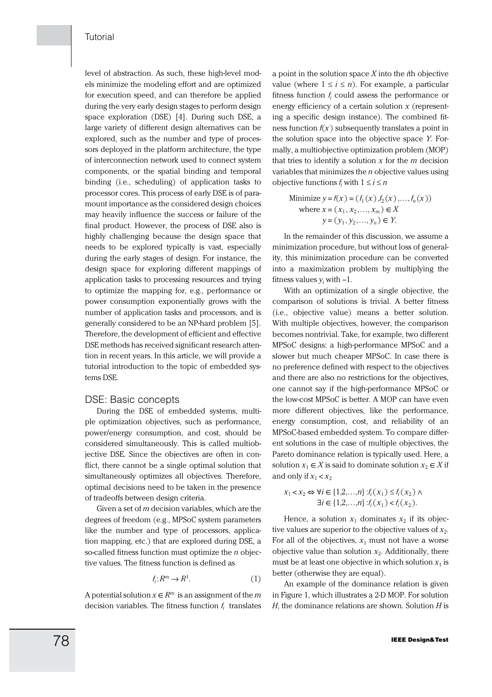level of abstraction. As such, these high-level models minimize the modeling effort and are optimized for execution speed, and can therefore be applied during the very early design stages to perform design space exploration (DSE) [4]. During such DSE, a large variety of different design alternatives can be explored, such as the number and type of processors deployed in the platform architecture, the type of interconnection network used to connect system components, or the spatial binding and temporal binding (i.e., scheduling) of application tasks to processor cores. This process of early DSE is of paramount importance as the considered design choices may heavily influence the success or failure of the final product. However, the process of DSE also is highly challenging because the design space that needs to be explored typically is vast, especially during the early stages of design. For instance, the design space for exploring different mappings of application tasks to processing resources and trying to optimize the mapping for, e.g., performance or power consumption exponentially grows with the number of application tasks and processors, and is generally considered to be an NP-hard problem [5]. Therefore, the development of efficient and effective DSE methods has received significant research attention in recent years. In this article, we will provide a tutorial introduction to the topic of embedded systems DSE.

## DSE: Basic concepts

During the DSE of embedded systems, multiple optimization objectives, such as performance, power/energy consumption, and cost, should be considered simultaneously. This is called multiobjective DSE. Since the objectives are often in conflict, there cannot be a single optimal solution that simultaneously optimizes all objectives. Therefore, optimal decisions need to be taken in the presence of tradeoffs between design criteria.

Given a set of *m* decision variables, which are the degrees of freedom (e.g., MPSoC system parameters like the number and type of processors, application mapping, etc.) that are explored during DSE, a so-called fitness function must optimize the *n* objective values. The fitness function is defined as

$$
f_i: R^m \to R^1. \tag{1}
$$

A potential solution  $x \in R^m$  is an assignment of the *m* decision variables. The fitness function *fi* translates a point in the solution space *X* into the *i*th objective value (where  $1 \le i \le n$ ). For example, a particular fitness function  $f_i$  could assess the performance or energy efficiency of a certain solution *x* (representing a specific design instance). The combined fitness function  $f(x)$  subsequently translates a point in the solution space into the objective space *Y*. Formally, a multiobjective optimization problem (MOP) that tries to identify a solution *x* for the *m* decision variables that minimizes the *n* objective values using objective functions  $f_i$  with  $1 \le i \le n$ 

Minimize 
$$
y = f(x) = (f_1(x), f_2(x), ..., f_n(x))
$$
  
where  $x = (x_1, x_2, ..., x_m) \in X$   
 $y = (y_1, y_2, ..., y_n) \in Y$ .

In the remainder of this discussion, we assume a minimization procedure, but without loss of generality, this minimization procedure can be converted into a maximization problem by multiplying the fitness values  $y_i$  with  $-1$ .

With an optimization of a single objective, the comparison of solutions is trivial. A better fitness (i.e., objective value) means a better solution. With multiple objectives, however, the comparison becomes nontrivial. Take, for example, two different MPSoC designs: a high-performance MPSoC and a slower but much cheaper MPSoC. In case there is no preference defined with respect to the objectives and there are also no restrictions for the objectives, one cannot say if the high-performance MPSoC or the low-cost MPSoC is better. A MOP can have even more different objectives, like the performance, energy consumption, cost, and reliability of an MPSoC-based embedded system. To compare different solutions in the case of multiple objectives, the Pareto dominance relation is typically used. Here, a solution  $x_1 \in X$  is said to dominate solution  $x_2 \in X$  if and only if  $x_1 < x_2$ 

$$
x_1 < x_2 \Leftrightarrow \forall i \in \{1, 2, ..., n\} : f_i(x_1) \le f_i(x_2) \land
$$
  
\n
$$
\exists i \in \{1, 2, ..., n\} : f_i(x_1) < f_i(x_2).
$$

Hence, a solution  $x_1$  dominates  $x_2$  if its objective values are superior to the objective values of  $x_2$ . For all of the objectives,  $x_1$  must not have a worse objective value than solution  $x_2$ . Additionally, there must be at least one objective in which solution  $x_1$  is better (otherwise they are equal).

An example of the dominance relation is given in Figure 1, which illustrates a 2-D MOP. For solution *H*, the dominance relations are shown. Solution *H* is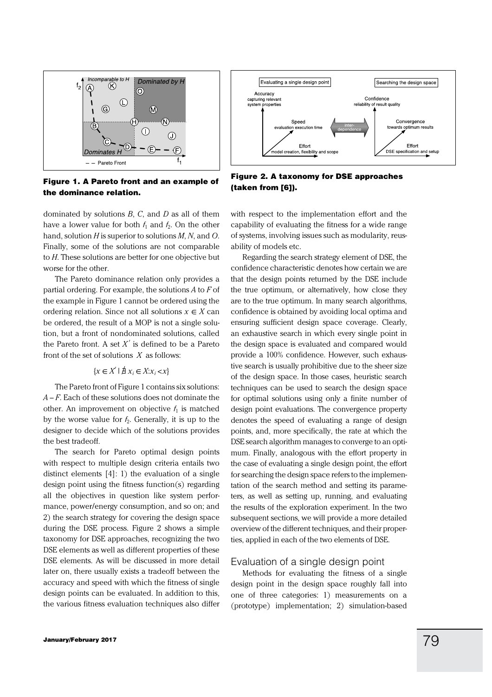

Figure 1. A Pareto front and an example of the dominance relation.

dominated by solutions *B*, *C*, and *D* as all of them have a lower value for both  $f_1$  and  $f_2$ . On the other hand, solution *H* is superior to solutions *M*, *N*, and *O*. Finally, some of the solutions are not comparable to *H*. These solutions are better for one objective but worse for the other.

The Pareto dominance relation only provides a partial ordering. For example, the solutions *A* to *F* of the example in Figure 1 cannot be ordered using the ordering relation. Since not all solutions  $x \in X$  can be ordered, the result of a MOP is not a single solution, but a front of nondominated solutions, called the Pareto front. A set *X*′ is defined to be a Pareto front of the set of solutions *X* as follows:

## $\{x \in X' \mid \nexists x_i \in X: x_i < x\}$

The Pareto front of Figure 1 contains six solutions: *A* − *F*. Each of these solutions does not dominate the other. An improvement on objective  $f_1$  is matched by the worse value for  $f_2$ . Generally, it is up to the designer to decide which of the solutions provides the best tradeoff.

The search for Pareto optimal design points with respect to multiple design criteria entails two distinct elements [4]: 1) the evaluation of a single design point using the fitness function(s) regarding all the objectives in question like system performance, power/energy consumption, and so on; and 2) the search strategy for covering the design space during the DSE process. Figure 2 shows a simple taxonomy for DSE approaches, recognizing the two DSE elements as well as different properties of these DSE elements. As will be discussed in more detail later on, there usually exists a tradeoff between the accuracy and speed with which the fitness of single design points can be evaluated. In addition to this, the various fitness evaluation techniques also differ



Figure 2. A taxonomy for DSE approaches (taken from [6]).

with respect to the implementation effort and the capability of evaluating the fitness for a wide range of systems, involving issues such as modularity, reusability of models etc.

Regarding the search strategy element of DSE, the confidence characteristic denotes how certain we are that the design points returned by the DSE include the true optimum, or alternatively, how close they are to the true optimum. In many search algorithms, confidence is obtained by avoiding local optima and ensuring sufficient design space coverage. Clearly, an exhaustive search in which every single point in the design space is evaluated and compared would provide a 100% confidence. However, such exhaustive search is usually prohibitive due to the sheer size of the design space. In those cases, heuristic search techniques can be used to search the design space for optimal solutions using only a finite number of design point evaluations. The convergence property denotes the speed of evaluating a range of design points, and, more specifically, the rate at which the DSE search algorithm manages to converge to an optimum. Finally, analogous with the effort property in the case of evaluating a single design point, the effort for searching the design space refers to the implementation of the search method and setting its parameters, as well as setting up, running, and evaluating the results of the exploration experiment. In the two subsequent sections, we will provide a more detailed overview of the different techniques, and their properties, applied in each of the two elements of DSE.

#### Evaluation of a single design point

Methods for evaluating the fitness of a single design point in the design space roughly fall into one of three categories: 1) measurements on a (prototype) implementation; 2) simulation-based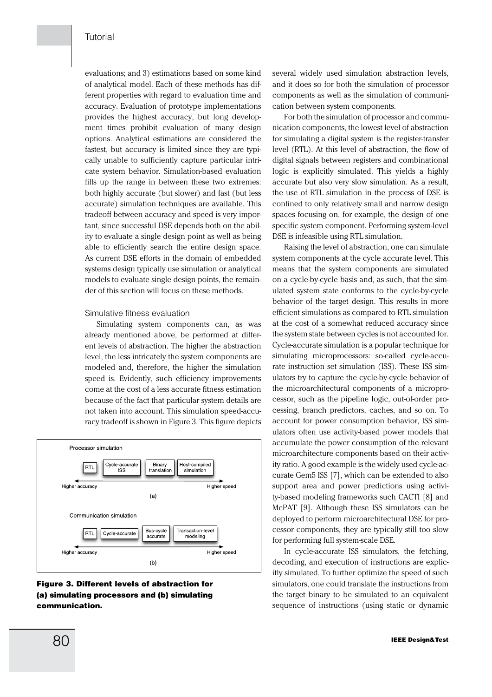evaluations; and 3) estimations based on some kind of analytical model. Each of these methods has different properties with regard to evaluation time and accuracy. Evaluation of prototype implementations provides the highest accuracy, but long development times prohibit evaluation of many design options. Analytical estimations are considered the fastest, but accuracy is limited since they are typically unable to sufficiently capture particular intricate system behavior. Simulation-based evaluation fills up the range in between these two extremes: both highly accurate (but slower) and fast (but less accurate) simulation techniques are available. This tradeoff between accuracy and speed is very important, since successful DSE depends both on the ability to evaluate a single design point as well as being able to efficiently search the entire design space. As current DSE efforts in the domain of embedded systems design typically use simulation or analytical models to evaluate single design points, the remainder of this section will focus on these methods.

#### Simulative fitness evaluation

Simulating system components can, as was already mentioned above, be performed at different levels of abstraction. The higher the abstraction level, the less intricately the system components are modeled and, therefore, the higher the simulation speed is. Evidently, such efficiency improvements come at the cost of a less accurate fitness estimation because of the fact that particular system details are not taken into account. This simulation speed-accuracy tradeoff is shown in Figure 3. This figure depicts



Figure 3. Different levels of abstraction for (a) simulating processors and (b) simulating communication.

several widely used simulation abstraction levels, and it does so for both the simulation of processor components as well as the simulation of communication between system components.

For both the simulation of processor and communication components, the lowest level of abstraction for simulating a digital system is the register-transfer level (RTL). At this level of abstraction, the flow of digital signals between registers and combinational logic is explicitly simulated. This yields a highly accurate but also very slow simulation. As a result, the use of RTL simulation in the process of DSE is confined to only relatively small and narrow design spaces focusing on, for example, the design of one specific system component. Performing system-level DSE is infeasible using RTL simulation.

Raising the level of abstraction, one can simulate system components at the cycle accurate level. This means that the system components are simulated on a cycle-by-cycle basis and, as such, that the simulated system state conforms to the cycle-by-cycle behavior of the target design. This results in more efficient simulations as compared to RTL simulation at the cost of a somewhat reduced accuracy since the system state between cycles is not accounted for. Cycle-accurate simulation is a popular technique for simulating microprocessors: so-called cycle-accurate instruction set simulation (ISS). These ISS simulators try to capture the cycle-by-cycle behavior of the microarchitectural components of a microprocessor, such as the pipeline logic, out-of-order processing, branch predictors, caches, and so on. To account for power consumption behavior, ISS simulators often use activity-based power models that accumulate the power consumption of the relevant microarchitecture components based on their activity ratio. A good example is the widely used cycle-accurate Gem5 ISS [7], which can be extended to also support area and power predictions using activity-based modeling frameworks such CACTI [8] and McPAT [9]. Although these ISS simulators can be deployed to perform microarchitectural DSE for processor components, they are typically still too slow for performing full system-scale DSE.

In cycle-accurate ISS simulators, the fetching, decoding, and execution of instructions are explicitly simulated. To further optimize the speed of such simulators, one could translate the instructions from the target binary to be simulated to an equivalent sequence of instructions (using static or dynamic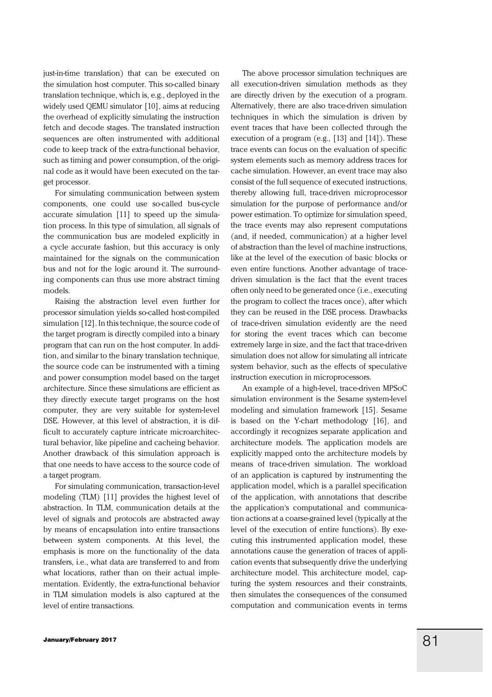just-in-time translation) that can be executed on the simulation host computer. This so-called binary translation technique, which is, e.g., deployed in the widely used QEMU simulator [10], aims at reducing the overhead of explicitly simulating the instruction fetch and decode stages. The translated instruction sequences are often instrumented with additional code to keep track of the extra-functional behavior, such as timing and power consumption, of the original code as it would have been executed on the target processor.

For simulating communication between system components, one could use so-called bus-cycle accurate simulation [11] to speed up the simulation process. In this type of simulation, all signals of the communication bus are modeled explicitly in a cycle accurate fashion, but this accuracy is only maintained for the signals on the communication bus and not for the logic around it. The surrounding components can thus use more abstract timing models.

Raising the abstraction level even further for processor simulation yields so-called host-compiled simulation [12]. In this technique, the source code of the target program is directly compiled into a binary program that can run on the host computer. In addition, and similar to the binary translation technique, the source code can be instrumented with a timing and power consumption model based on the target architecture. Since these simulations are efficient as they directly execute target programs on the host computer, they are very suitable for system-level DSE. However, at this level of abstraction, it is difficult to accurately capture intricate microarchitectural behavior, like pipeline and cacheing behavior. Another drawback of this simulation approach is that one needs to have access to the source code of a target program.

For simulating communication, transaction-level modeling (TLM) [11] provides the highest level of abstraction. In TLM, communication details at the level of signals and protocols are abstracted away by means of encapsulation into entire transactions between system components. At this level, the emphasis is more on the functionality of the data transfers, i.e., what data are transferred to and from what locations, rather than on their actual implementation. Evidently, the extra-functional behavior in TLM simulation models is also captured at the level of entire transactions.

The above processor simulation techniques are all execution-driven simulation methods as they are directly driven by the execution of a program. Alternatively, there are also trace-driven simulation techniques in which the simulation is driven by event traces that have been collected through the execution of a program (e.g., [13] and [14]). These trace events can focus on the evaluation of specific system elements such as memory address traces for cache simulation. However, an event trace may also consist of the full sequence of executed instructions, thereby allowing full, trace-driven microprocessor simulation for the purpose of performance and/or power estimation. To optimize for simulation speed, the trace events may also represent computations (and, if needed, communication) at a higher level of abstraction than the level of machine instructions, like at the level of the execution of basic blocks or even entire functions. Another advantage of tracedriven simulation is the fact that the event traces often only need to be generated once (i.e., executing the program to collect the traces once), after which they can be reused in the DSE process. Drawbacks of trace-driven simulation evidently are the need for storing the event traces which can become extremely large in size, and the fact that trace-driven simulation does not allow for simulating all intricate system behavior, such as the effects of speculative instruction execution in microprocessors.

An example of a high-level, trace-driven MPSoC simulation environment is the Sesame system-level modeling and simulation framework [15]. Sesame is based on the Y-chart methodology [16], and accordingly it recognizes separate application and architecture models. The application models are explicitly mapped onto the architecture models by means of trace-driven simulation. The workload of an application is captured by instrumenting the application model, which is a parallel specification of the application, with annotations that describe the application's computational and communication actions at a coarse-grained level (typically at the level of the execution of entire functions). By executing this instrumented application model, these annotations cause the generation of traces of application events that subsequently drive the underlying architecture model. This architecture model, capturing the system resources and their constraints, then simulates the consequences of the consumed computation and communication events in terms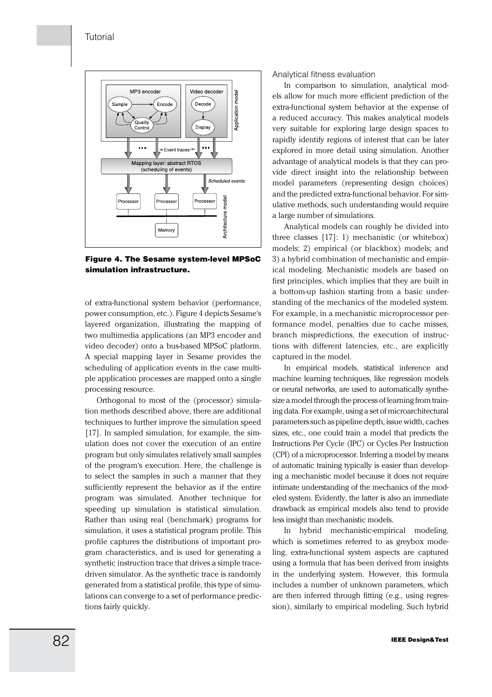

Figure 4. The Sesame system-level MPSoC simulation infrastructure.

of extra-functional system behavior (performance, power consumption, etc.). Figure 4 depicts Sesame's layered organization, illustrating the mapping of two multimedia applications (an MP3 encoder and video decoder) onto a bus-based MPSoC platform. A special mapping layer in Sesame provides the scheduling of application events in the case multiple application processes are mapped onto a single processing resource.

Orthogonal to most of the (processor) simulation methods described above, there are additional techniques to further improve the simulation speed [17]. In sampled simulation, for example, the simulation does not cover the execution of an entire program but only simulates relatively small samples of the program's execution. Here, the challenge is to select the samples in such a manner that they sufficiently represent the behavior as if the entire program was simulated. Another technique for speeding up simulation is statistical simulation. Rather than using real (benchmark) programs for simulation, it uses a statistical program profile. This profile captures the distributions of important program characteristics, and is used for generating a synthetic instruction trace that drives a simple tracedriven simulator. As the synthetic trace is randomly generated from a statistical profile, this type of simulations can converge to a set of performance predictions fairly quickly.

Analytical fitness evaluation

In comparison to simulation, analytical models allow for much more efficient prediction of the extra-functional system behavior at the expense of a reduced accuracy. This makes analytical models very suitable for exploring large design spaces to rapidly identify regions of interest that can be later explored in more detail using simulation. Another advantage of analytical models is that they can provide direct insight into the relationship between model parameters (representing design choices) and the predicted extra-functional behavior. For simulative methods, such understanding would require a large number of simulations.

Analytical models can roughly be divided into three classes [17]: 1) mechanistic (or whitebox) models; 2) empirical (or blackbox) models; and 3) a hybrid combination of mechanistic and empirical modeling. Mechanistic models are based on first principles, which implies that they are built in a bottom-up fashion starting from a basic understanding of the mechanics of the modeled system. For example, in a mechanistic microprocessor performance model, penalties due to cache misses, branch mispredictions, the execution of instructions with different latencies, etc., are explicitly captured in the model.

In empirical models, statistical inference and machine learning techniques, like regression models or neural networks, are used to automatically synthesize a model through the process of learning from training data. For example, using a set of microarchitectural parameters such as pipeline depth, issue width, caches sizes, etc., one could train a model that predicts the Instructions Per Cycle (IPC) or Cycles Per Instruction (CPI) of a microprocessor. Inferring a model by means of automatic training typically is easier than developing a mechanistic model because it does not require intimate understanding of the mechanics of the modeled system. Evidently, the latter is also an immediate drawback as empirical models also tend to provide less insight than mechanistic models.

In hybrid mechanistic-empirical modeling, which is sometimes referred to as greybox modeling, extra-functional system aspects are captured using a formula that has been derived from insights in the underlying system. However, this formula includes a number of unknown parameters, which are then inferred through fitting (e.g., using regression), similarly to empirical modeling. Such hybrid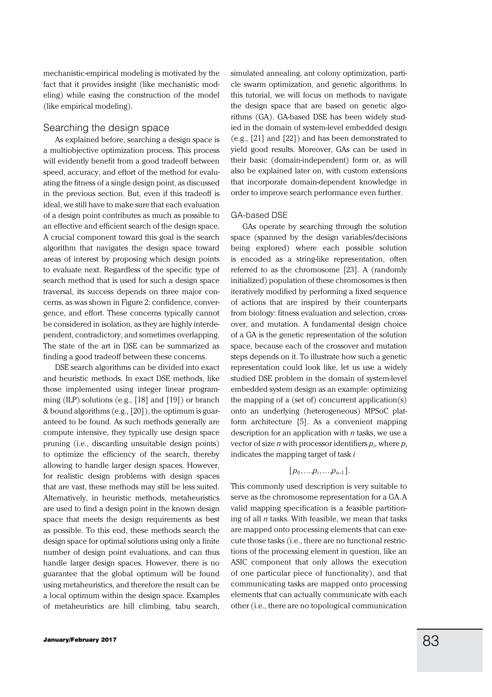mechanistic-empirical modeling is motivated by the fact that it provides insight (like mechanistic modeling) while easing the construction of the model (like empirical modeling).

## Searching the design space

As explained before, searching a design space is a multiobjective optimization process. This process will evidently benefit from a good tradeoff between speed, accuracy, and effort of the method for evaluating the fitness of a single design point, as discussed in the previous section. But, even if this tradeoff is ideal, we still have to make sure that each evaluation of a design point contributes as much as possible to an effective and efficient search of the design space. A crucial component toward this goal is the search algorithm that navigates the design space toward areas of interest by proposing which design points to evaluate next. Regardless of the specific type of search method that is used for such a design space traversal, its success depends on three major concerns, as was shown in Figure 2: confidence, convergence, and effort. These concerns typically cannot be considered in isolation, as they are highly interdependent, contradictory, and sometimes overlapping. The state of the art in DSE can be summarized as finding a good tradeoff between these concerns.

DSE search algorithms can be divided into exact and heuristic methods. In exact DSE methods, like those implemented using integer linear programming (ILP) solutions (e.g., [18] and [19]) or branch & bound algorithms (e.g., [20]), the optimum is guaranteed to be found. As such methods generally are compute intensive, they typically use design space pruning (i.e., discarding unsuitable design points) to optimize the efficiency of the search, thereby allowing to handle larger design spaces. However, for realistic design problems with design spaces that are vast, these methods may still be less suited. Alternatively, in heuristic methods, metaheuristics are used to find a design point in the known design space that meets the design requirements as best as possible. To this end, these methods search the design space for optimal solutions using only a finite number of design point evaluations, and can thus handle larger design spaces. However, there is no guarantee that the global optimum will be found using metaheuristics, and therefore the result can be a local optimum within the design space. Examples of metaheuristics are hill climbing, tabu search, simulated annealing, ant colony optimization, particle swarm optimization, and genetic algorithms. In this tutorial, we will focus on methods to navigate the design space that are based on genetic algorithms (GA). GA-based DSE has been widely studied in the domain of system-level embedded design (e.g., [21] and [22]) and has been demonstrated to yield good results. Moreover, GAs can be used in their basic (domain-independent) form or, as will also be explained later on, with custom extensions that incorporate domain-dependent knowledge in order to improve search performance even further.

#### GA-based DSE

GAs operate by searching through the solution space (spanned by the design variables/decisions being explored) where each possible solution is encoded as a string-like representation, often referred to as the chromosome [23]. A (randomly initialized) population of these chromosomes is then iteratively modified by performing a fixed sequence of actions that are inspired by their counterparts from biology: fitness evaluation and selection, crossover, and mutation. A fundamental design choice of a GA is the genetic representation of the solution space, because each of the crossover and mutation steps depends on it. To illustrate how such a genetic representation could look like, let us use a widely studied DSE problem in the domain of system-level embedded system design as an example: optimizing the mapping of a (set of) concurrent application(s) onto an underlying (heterogeneous) MPSoC platform architecture [5]. As a convenient mapping description for an application with *n* tasks, we use a vector of size  $n$  with processor identifiers  $p_i$ , where  $p_i$ indicates the mapping target of task *i*

$$
[p_0,...,p_i,...,p_{n-1}].
$$

This commonly used description is very suitable to serve as the chromosome representation for a GA. A valid mapping specification is a feasible partitioning of all *n* tasks. With feasible, we mean that tasks are mapped onto processing elements that can execute those tasks (i.e., there are no functional restrictions of the processing element in question, like an ASIC component that only allows the execution of one particular piece of functionality), and that communicating tasks are mapped onto processing elements that can actually communicate with each other (i.e., there are no topological communication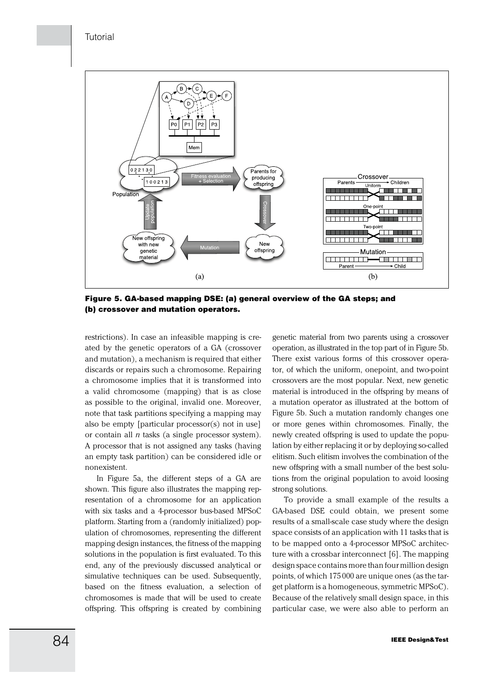

Figure 5. GA-based mapping DSE: (a) general overview of the GA steps; and (b) crossover and mutation operators.

restrictions). In case an infeasible mapping is created by the genetic operators of a GA (crossover and mutation), a mechanism is required that either discards or repairs such a chromosome. Repairing a chromosome implies that it is transformed into a valid chromosome (mapping) that is as close as possible to the original, invalid one. Moreover, note that task partitions specifying a mapping may also be empty [particular processor(s) not in use] or contain all *n* tasks (a single processor system). A processor that is not assigned any tasks (having an empty task partition) can be considered idle or nonexistent.

In Figure 5a, the different steps of a GA are shown. This figure also illustrates the mapping representation of a chromosome for an application with six tasks and a 4-processor bus-based MPSoC platform. Starting from a (randomly initialized) population of chromosomes, representing the different mapping design instances, the fitness of the mapping solutions in the population is first evaluated. To this end, any of the previously discussed analytical or simulative techniques can be used. Subsequently, based on the fitness evaluation, a selection of chromosomes is made that will be used to create offspring. This offspring is created by combining

genetic material from two parents using a crossover operation, as illustrated in the top part of in Figure 5b. There exist various forms of this crossover operator, of which the uniform, onepoint, and two-point crossovers are the most popular. Next, new genetic material is introduced in the offspring by means of a mutation operator as illustrated at the bottom of Figure 5b. Such a mutation randomly changes one or more genes within chromosomes. Finally, the newly created offspring is used to update the population by either replacing it or by deploying so-called elitism. Such elitism involves the combination of the new offspring with a small number of the best solutions from the original population to avoid loosing strong solutions.

To provide a small example of the results a GA-based DSE could obtain, we present some results of a small-scale case study where the design space consists of an application with 11 tasks that is to be mapped onto a 4-processor MPSoC architecture with a crossbar interconnect [6]. The mapping design space contains more than four million design points, of which 175 000 are unique ones (as the target platform is a homogeneous, symmetric MPSoC). Because of the relatively small design space, in this particular case, we were also able to perform an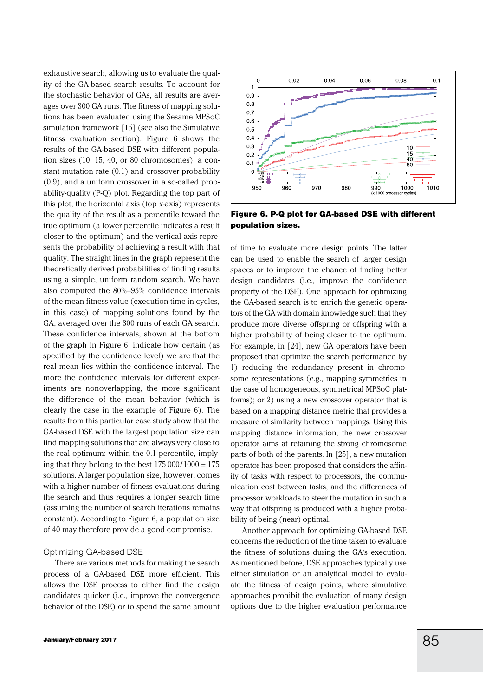exhaustive search, allowing us to evaluate the quality of the GA-based search results. To account for the stochastic behavior of GAs, all results are averages over 300 GA runs. The fitness of mapping solutions has been evaluated using the Sesame MPSoC simulation framework [15] (see also the Simulative fitness evaluation section). Figure 6 shows the results of the GA-based DSE with different population sizes (10, 15, 40, or 80 chromosomes), a constant mutation rate (0.1) and crossover probability (0.9), and a uniform crossover in a so-called probability-quality (P-Q) plot. Regarding the top part of this plot, the horizontal axis (top *x*-axis) represents the quality of the result as a percentile toward the true optimum (a lower percentile indicates a result closer to the optimum) and the vertical axis represents the probability of achieving a result with that quality. The straight lines in the graph represent the theoretically derived probabilities of finding results using a simple, uniform random search. We have also computed the 80%–95% confidence intervals of the mean fitness value (execution time in cycles, in this case) of mapping solutions found by the GA, averaged over the 300 runs of each GA search. These confidence intervals, shown at the bottom of the graph in Figure 6, indicate how certain (as specified by the confidence level) we are that the real mean lies within the confidence interval. The more the confidence intervals for different experiments are nonoverlapping, the more significant the difference of the mean behavior (which is clearly the case in the example of Figure 6). The results from this particular case study show that the GA-based DSE with the largest population size can find mapping solutions that are always very close to the real optimum: within the 0.1 percentile, implying that they belong to the best  $175\,000/1000 = 175$ solutions. A larger population size, however, comes with a higher number of fitness evaluations during the search and thus requires a longer search time (assuming the number of search iterations remains constant). According to Figure 6, a population size of 40 may therefore provide a good compromise.

#### Optimizing GA-based DSE

There are various methods for making the search process of a GA-based DSE more efficient. This allows the DSE process to either find the design candidates quicker (i.e., improve the convergence behavior of the DSE) or to spend the same amount



Figure 6. P-Q plot for GA-based DSE with different population sizes.

of time to evaluate more design points. The latter can be used to enable the search of larger design spaces or to improve the chance of finding better design candidates (i.e., improve the confidence property of the DSE). One approach for optimizing the GA-based search is to enrich the genetic operators of the GA with domain knowledge such that they produce more diverse offspring or offspring with a higher probability of being closer to the optimum. For example, in [24], new GA operators have been proposed that optimize the search performance by 1) reducing the redundancy present in chromosome representations (e.g., mapping symmetries in the case of homogeneous, symmetrical MPSoC platforms); or 2) using a new crossover operator that is based on a mapping distance metric that provides a measure of similarity between mappings. Using this mapping distance information, the new crossover operator aims at retaining the strong chromosome parts of both of the parents. In [25], a new mutation operator has been proposed that considers the affinity of tasks with respect to processors, the communication cost between tasks, and the differences of processor workloads to steer the mutation in such a way that offspring is produced with a higher probability of being (near) optimal.

Another approach for optimizing GA-based DSE concerns the reduction of the time taken to evaluate the fitness of solutions during the GA's execution. As mentioned before, DSE approaches typically use either simulation or an analytical model to evaluate the fitness of design points, where simulative approaches prohibit the evaluation of many design options due to the higher evaluation performance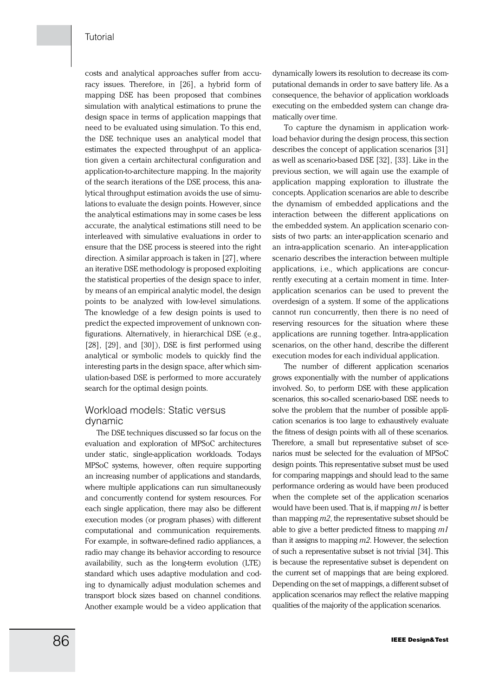costs and analytical approaches suffer from accuracy issues. Therefore, in [26], a hybrid form of mapping DSE has been proposed that combines simulation with analytical estimations to prune the design space in terms of application mappings that need to be evaluated using simulation. To this end, the DSE technique uses an analytical model that estimates the expected throughput of an application given a certain architectural configuration and application-to-architecture mapping. In the majority of the search iterations of the DSE process, this analytical throughput estimation avoids the use of simulations to evaluate the design points. However, since the analytical estimations may in some cases be less accurate, the analytical estimations still need to be interleaved with simulative evaluations in order to ensure that the DSE process is steered into the right direction. A similar approach is taken in [27], where an iterative DSE methodology is proposed exploiting the statistical properties of the design space to infer, by means of an empirical analytic model, the design points to be analyzed with low-level simulations. The knowledge of a few design points is used to predict the expected improvement of unknown configurations. Alternatively, in hierarchical DSE (e.g., [28], [29], and [30]), DSE is first performed using analytical or symbolic models to quickly find the interesting parts in the design space, after which simulation-based DSE is performed to more accurately search for the optimal design points.

# Workload models: Static versus dynamic

The DSE techniques discussed so far focus on the evaluation and exploration of MPSoC architectures under static, single-application workloads. Todays MPSoC systems, however, often require supporting an increasing number of applications and standards, where multiple applications can run simultaneously and concurrently contend for system resources. For each single application, there may also be different execution modes (or program phases) with different computational and communication requirements. For example, in software-defined radio appliances, a radio may change its behavior according to resource availability, such as the long-term evolution (LTE) standard which uses adaptive modulation and coding to dynamically adjust modulation schemes and transport block sizes based on channel conditions. Another example would be a video application that dynamically lowers its resolution to decrease its computational demands in order to save battery life. As a consequence, the behavior of application workloads executing on the embedded system can change dramatically over time.

To capture the dynamism in application workload behavior during the design process, this section describes the concept of application scenarios [31] as well as scenario-based DSE [32], [33]. Like in the previous section, we will again use the example of application mapping exploration to illustrate the concepts. Application scenarios are able to describe the dynamism of embedded applications and the interaction between the different applications on the embedded system. An application scenario consists of two parts: an inter-application scenario and an intra-application scenario. An inter-application scenario describes the interaction between multiple applications, i.e., which applications are concurrently executing at a certain moment in time. Interapplication scenarios can be used to prevent the overdesign of a system. If some of the applications cannot run concurrently, then there is no need of reserving resources for the situation where these applications are running together. Intra-application scenarios, on the other hand, describe the different execution modes for each individual application.

The number of different application scenarios grows exponentially with the number of applications involved. So, to perform DSE with these application scenarios, this so-called scenario-based DSE needs to solve the problem that the number of possible application scenarios is too large to exhaustively evaluate the fitness of design points with all of these scenarios. Therefore, a small but representative subset of scenarios must be selected for the evaluation of MPSoC design points. This representative subset must be used for comparing mappings and should lead to the same performance ordering as would have been produced when the complete set of the application scenarios would have been used. That is, if mapping *m1* is better than mapping *m2*, the representative subset should be able to give a better predicted fitness to mapping *m1* than it assigns to mapping *m2*. However, the selection of such a representative subset is not trivial [34]. This is because the representative subset is dependent on the current set of mappings that are being explored. Depending on the set of mappings, a different subset of application scenarios may reflect the relative mapping qualities of the majority of the application scenarios.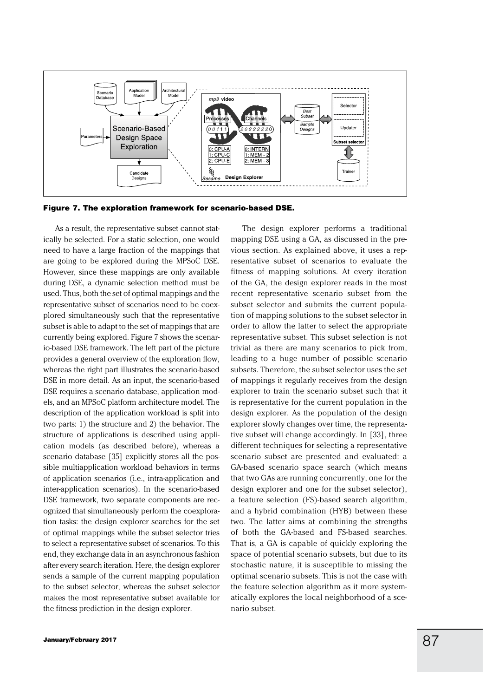

Figure 7. The exploration framework for scenario-based DSE.

As a result, the representative subset cannot statically be selected. For a static selection, one would need to have a large fraction of the mappings that are going to be explored during the MPSoC DSE. However, since these mappings are only available during DSE, a dynamic selection method must be used. Thus, both the set of optimal mappings and the representative subset of scenarios need to be coexplored simultaneously such that the representative subset is able to adapt to the set of mappings that are currently being explored. Figure 7 shows the scenario-based DSE framework. The left part of the picture provides a general overview of the exploration flow, whereas the right part illustrates the scenario-based DSE in more detail. As an input, the scenario-based DSE requires a scenario database, application models, and an MPSoC platform architecture model. The description of the application workload is split into two parts: 1) the structure and 2) the behavior. The structure of applications is described using application models (as described before), whereas a scenario database [35] explicitly stores all the possible multiapplication workload behaviors in terms of application scenarios (i.e., intra-application and inter-application scenarios). In the scenario-based DSE framework, two separate components are recognized that simultaneously perform the coexploration tasks: the design explorer searches for the set of optimal mappings while the subset selector tries to select a representative subset of scenarios. To this end, they exchange data in an asynchronous fashion after every search iteration. Here, the design explorer sends a sample of the current mapping population to the subset selector, whereas the subset selector makes the most representative subset available for the fitness prediction in the design explorer.

The design explorer performs a traditional mapping DSE using a GA, as discussed in the previous section. As explained above, it uses a representative subset of scenarios to evaluate the fitness of mapping solutions. At every iteration of the GA, the design explorer reads in the most recent representative scenario subset from the subset selector and submits the current population of mapping solutions to the subset selector in order to allow the latter to select the appropriate representative subset. This subset selection is not trivial as there are many scenarios to pick from, leading to a huge number of possible scenario subsets. Therefore, the subset selector uses the set of mappings it regularly receives from the design explorer to train the scenario subset such that it is representative for the current population in the design explorer. As the population of the design explorer slowly changes over time, the representative subset will change accordingly. In [33], three different techniques for selecting a representative scenario subset are presented and evaluated: a GA-based scenario space search (which means that two GAs are running concurrently, one for the design explorer and one for the subset selector), a feature selection (FS)-based search algorithm, and a hybrid combination (HYB) between these two. The latter aims at combining the strengths of both the GA-based and FS-based searches. That is, a GA is capable of quickly exploring the space of potential scenario subsets, but due to its stochastic nature, it is susceptible to missing the optimal scenario subsets. This is not the case with the feature selection algorithm as it more systematically explores the local neighborhood of a scenario subset.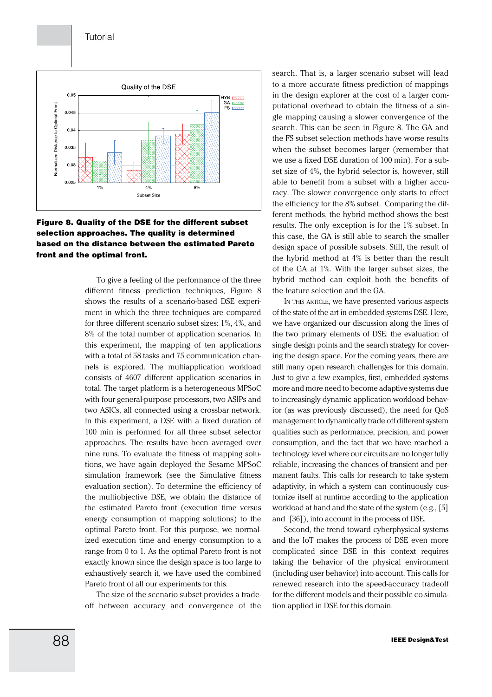

Figure 8. Quality of the DSE for the different subset selection approaches. The quality is determined based on the distance between the estimated Pareto front and the optimal front.

To give a feeling of the performance of the three different fitness prediction techniques, Figure 8 shows the results of a scenario-based DSE experiment in which the three techniques are compared for three different scenario subset sizes: 1%, 4%, and 8% of the total number of application scenarios. In this experiment, the mapping of ten applications with a total of 58 tasks and 75 communication channels is explored. The multiapplication workload consists of 4607 different application scenarios in total. The target platform is a heterogeneous MPSoC with four general-purpose processors, two ASIPs and two ASICs, all connected using a crossbar network. In this experiment, a DSE with a fixed duration of 100 min is performed for all three subset selector approaches. The results have been averaged over nine runs. To evaluate the fitness of mapping solutions, we have again deployed the Sesame MPSoC simulation framework (see the Simulative fitness evaluation section). To determine the efficiency of the multiobjective DSE, we obtain the distance of the estimated Pareto front (execution time versus energy consumption of mapping solutions) to the optimal Pareto front. For this purpose, we normalized execution time and energy consumption to a range from 0 to 1. As the optimal Pareto front is not exactly known since the design space is too large to exhaustively search it, we have used the combined Pareto front of all our experiments for this.

The size of the scenario subset provides a tradeoff between accuracy and convergence of the search. That is, a larger scenario subset will lead to a more accurate fitness prediction of mappings in the design explorer at the cost of a larger computational overhead to obtain the fitness of a single mapping causing a slower convergence of the search. This can be seen in Figure 8. The GA and the FS subset selection methods have worse results when the subset becomes larger (remember that we use a fixed DSE duration of 100 min). For a subset size of 4%, the hybrid selector is, however, still able to benefit from a subset with a higher accuracy. The slower convergence only starts to effect the efficiency for the 8% subset. Comparing the different methods, the hybrid method shows the best results. The only exception is for the 1% subset. In this case, the GA is still able to search the smaller design space of possible subsets. Still, the result of the hybrid method at 4% is better than the result of the GA at 1%. With the larger subset sizes, the hybrid method can exploit both the benefits of the feature selection and the GA.

IN THIS ARTICLE, we have presented various aspects of the state of the art in embedded systems DSE. Here, we have organized our discussion along the lines of the two primary elements of DSE: the evaluation of single design points and the search strategy for covering the design space. For the coming years, there are still many open research challenges for this domain. Just to give a few examples, first, embedded systems more and more need to become adaptive systems due to increasingly dynamic application workload behavior (as was previously discussed), the need for QoS management to dynamically trade off different system qualities such as performance, precision, and power consumption, and the fact that we have reached a technology level where our circuits are no longer fully reliable, increasing the chances of transient and permanent faults. This calls for research to take system adaptivity, in which a system can continuously customize itself at runtime according to the application workload at hand and the state of the system (e.g., [5] and [36]), into account in the process of DSE.

Second, the trend toward cyberphysical systems and the IoT makes the process of DSE even more complicated since DSE in this context requires taking the behavior of the physical environment (including user behavior) into account. This calls for renewed research into the speed-accuracy tradeoff for the different models and their possible co-simulation applied in DSE for this domain.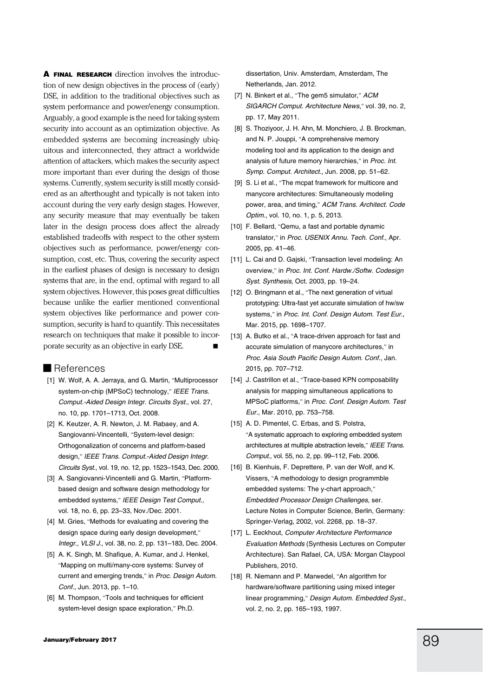A FINAL RESEARCH direction involves the introduction of new design objectives in the process of (early) DSE, in addition to the traditional objectives such as system performance and power/energy consumption. Arguably, a good example is the need for taking system security into account as an optimization objective. As embedded systems are becoming increasingly ubiquitous and interconnected, they attract a worldwide attention of attackers, which makes the security aspect more important than ever during the design of those systems. Currently, system security is still mostly considered as an afterthought and typically is not taken into account during the very early design stages. However, any security measure that may eventually be taken later in the design process does affect the already established tradeoffs with respect to the other system objectives such as performance, power/energy consumption, cost, etc. Thus, covering the security aspect in the earliest phases of design is necessary to design systems that are, in the end, optimal with regard to all system objectives. However, this poses great difficulties because unlike the earlier mentioned conventional system objectives like performance and power consumption, security is hard to quantify. This necessitates research on techniques that make it possible to incorporate security as an objective in early DSE.

# $\blacksquare$  References

- [1] W. Wolf, A. A. Jerraya, and G. Martin, "Multiprocessor system-on-chip (MPSoC) technology," *IEEE Trans. Comput.-Aided Design Integr. Circuits Syst.*, vol. 27, no. 10, pp. 1701–1713, Oct. 2008.
- [2] K. Keutzer, A. R. Newton, J. M. Rabaey, and A. Sangiovanni-Vincentelli, "System-level design: Orthogonalization of concerns and platform-based design," *IEEE Trans. Comput.-Aided Design Integr. Circuits Syst.*, vol. 19, no. 12, pp. 1523–1543, Dec. 2000.
- [3] A. Sangiovanni-Vincentelli and G. Martin, "Platformbased design and software design methodology for embedded systems," *IEEE Design Test Comput.*, vol. 18, no. 6, pp. 23–33, Nov./Dec. 2001.
- [4] M. Gries, "Methods for evaluating and covering the design space during early design development," *Integr., VLSI J.*, vol. 38, no. 2, pp. 131–183, Dec. 2004.
- [5] A. K. Singh, M. Shafique, A. Kumar, and J. Henkel, "Mapping on multi/many-core systems: Survey of current and emerging trends," in *Proc. Design Autom. Conf.*, Jun. 2013, pp. 1–10.
- [6] M. Thompson, "Tools and techniques for efficient system-level design space exploration," Ph.D.

dissertation, Univ. Amsterdam, Amsterdam, The Netherlands, Jan. 2012.

- [7] N. Binkert et al., "The gem5 simulator," *ACM SIGARCH Comput. Architecture News*," vol. 39, no. 2, pp. 17, May 2011.
- [8] S. Thoziyoor, J. H. Ahn, M. Monchiero, J. B. Brockman, and N. P. Jouppi, "A comprehensive memory modeling tool and its application to the design and analysis of future memory hierarchies," in *Proc. Int. Symp. Comput. Architect.*, Jun. 2008, pp. 51–62.
- [9] S. Li et al., "The mcpat framework for multicore and manycore architectures: Simultaneously modeling power, area, and timing," *ACM Trans. Architect. Code Optim.*, vol. 10, no. 1, p. 5, 2013.
- [10] F. Bellard, "Qemu, a fast and portable dynamic translator," in *Proc. USENIX Annu. Tech. Conf.*, Apr. 2005, pp. 41–46.
- [11] L. Cai and D. Gajski, "Transaction level modeling: An overview," in *Proc. Int. Conf. Hardw./Softw. Codesign Syst. Synthesis*, Oct. 2003, pp. 19–24.
- [12] O. Bringmann et al., "The next generation of virtual prototyping: Ultra-fast yet accurate simulation of hw/sw systems," in *Proc. Int. Conf. Design Autom. Test Eur.*, Mar. 2015, pp. 1698–1707.
- [13] A. Butko et al., "A trace-driven approach for fast and accurate simulation of manycore architectures," in *Proc. Asia South Pacific Design Autom. Conf.*, Jan. 2015, pp. 707–712.
- [14] J. Castrillon et al., "Trace-based KPN composability analysis for mapping simultaneous applications to MPSoC platforms," in *Proc. Conf. Design Autom. Test Eur.*, Mar. 2010, pp. 753–758.
- [15] A. D. Pimentel, C. Erbas, and S. Polstra, "A systematic approach to exploring embedded system architectures at multiple abstraction levels," *IEEE Trans. Comput.*, vol. 55, no. 2, pp. 99–112, Feb. 2006.
- [16] B. Kienhuis, F. Deprettere, P. van der Wolf, and K. Vissers, "A methodology to design programmble embedded systems: The y-chart approach," *Embedded Processor Design Challenges*, ser. Lecture Notes in Computer Science, Berlin, Germany: Springer-Verlag, 2002, vol. 2268, pp. 18–37.
- [17] L. Eeckhout, *Computer Architecture Performance Evaluation Methods* (Synthesis Lectures on Computer Architecture). San Rafael, CA, USA: Morgan Claypool Publishers, 2010.
- [18] R. Niemann and P. Marwedel, "An algorithm for hardware/software partitioning using mixed integer linear programming," *Design Autom. Embedded Syst.*, vol. 2, no. 2, pp. 165–193, 1997.